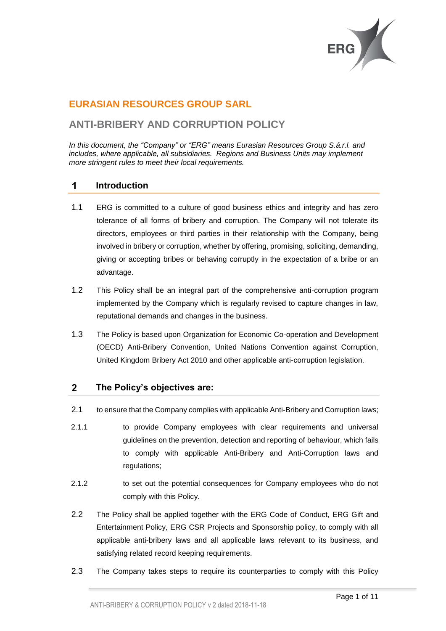

# **EURASIAN RESOURCES GROUP SARL**

# **ANTI-BRIBERY AND CORRUPTION POLICY**

*In this document, the "Company" or "ERG" means Eurasian Resources Group S.á.r.l. and includes, where applicable, all subsidiaries. Regions and Business Units may implement more stringent rules to meet their local requirements.* 

#### $\overline{\mathbf{1}}$ **Introduction**

- 1.1 ERG is committed to a culture of good business ethics and integrity and has zero tolerance of all forms of bribery and corruption. The Company will not tolerate its directors, employees or third parties in their relationship with the Company, being involved in bribery or corruption, whether by offering, promising, soliciting, demanding, giving or accepting bribes or behaving corruptly in the expectation of a bribe or an advantage.
- 1.2 This Policy shall be an integral part of the comprehensive anti-corruption program implemented by the Company which is regularly revised to capture changes in law, reputational demands and changes in the business.
- 1.3 The Policy is based upon Organization for Economic Co-operation and Development (OECD) Anti-Bribery Convention, United Nations Convention against Corruption, United Kingdom Bribery Act 2010 and other applicable anti-corruption legislation.

### $2<sup>1</sup>$ **The Policy's objectives are:**

- 2.1 to ensure that the Company complies with applicable Anti-Bribery and Corruption laws;
- 2.1.1 to provide Company employees with clear requirements and universal guidelines on the prevention, detection and reporting of behaviour, which fails to comply with applicable Anti-Bribery and Anti-Corruption laws and regulations;
- 2.1.2 to set out the potential consequences for Company employees who do not comply with this Policy.
- 2.2 The Policy shall be applied together with the ERG Code of Conduct, ERG Gift and Entertainment Policy, ERG CSR Projects and Sponsorship policy, to comply with all applicable anti-bribery laws and all applicable laws relevant to its business, and satisfying related record keeping requirements.
- 2.3 The Company takes steps to require its counterparties to comply with this Policy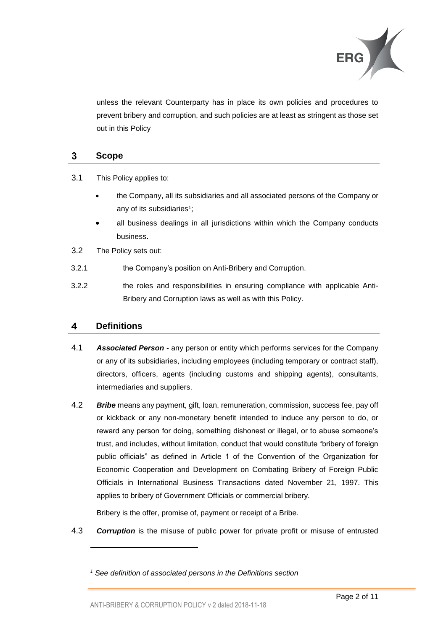

unless the relevant Counterparty has in place its own policies and procedures to prevent bribery and corruption, and such policies are at least as stringent as those set out in this Policy

### $\mathbf{3}$ **Scope**

3.1 This Policy applies to:

- the Company, all its subsidiaries and all associated persons of the Company or any of its subsidiaries<sup>1</sup>;
- all business dealings in all jurisdictions within which the Company conducts business.
- 3.2 The Policy sets out:
- 3.2.1 the Company's position on Anti-Bribery and Corruption.
- 3.2.2 the roles and responsibilities in ensuring compliance with applicable Anti-Bribery and Corruption laws as well as with this Policy.

### **Definitions**  $\overline{\mathbf{4}}$

l

- 4.1 *Associated Person* any person or entity which performs services for the Company or any of its subsidiaries, including employees (including temporary or contract staff), directors, officers, agents (including customs and shipping agents), consultants, intermediaries and suppliers.
- 4.2 *Bribe* means any payment, gift, loan, remuneration, commission, success fee, pay off or kickback or any non-monetary benefit intended to induce any person to do, or reward any person for doing, something dishonest or illegal, or to abuse someone's trust, and includes, without limitation, conduct that would constitute "bribery of foreign public officials" as defined in Article 1 of the Convention of the Organization for Economic Cooperation and Development on Combating Bribery of Foreign Public Officials in International Business Transactions dated November 21, 1997. This applies to bribery of Government Officials or commercial bribery.

Bribery is the offer, promise of, payment or receipt of a Bribe.

4.3 *Corruption* is the misuse of public power for private profit or misuse of entrusted

*<sup>1</sup> See definition of associated persons in the Definitions section*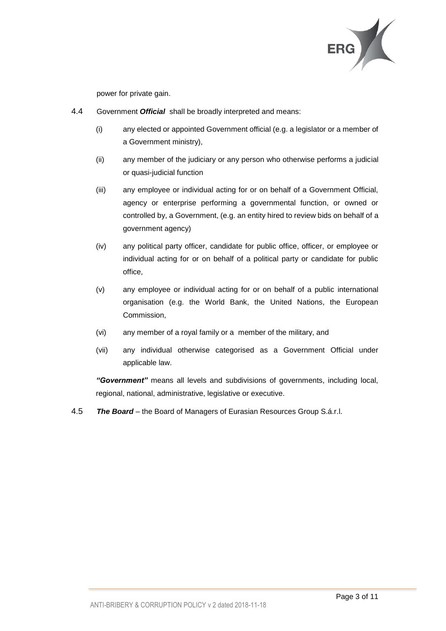

power for private gain.

- 4.4 Government *Official* shall be broadly interpreted and means:
	- (i) any elected or appointed Government official (e.g. a legislator or a member of a Government ministry),
	- (ii) any member of the judiciary or any person who otherwise performs a judicial or quasi-judicial function
	- (iii) any employee or individual acting for or on behalf of a Government Official, agency or enterprise performing a governmental function, or owned or controlled by, a Government, (e.g. an entity hired to review bids on behalf of a government agency)
	- (iv) any political party officer, candidate for public office, officer, or employee or individual acting for or on behalf of a political party or candidate for public office,
	- (v) any employee or individual acting for or on behalf of a public international organisation (e.g. the World Bank, the United Nations, the European Commission,
	- (vi) any member of a royal family or a member of the military, and
	- (vii) any individual otherwise categorised as a Government Official under applicable law.

*"Government"* means all levels and subdivisions of governments, including local, regional, national, administrative, legislative or executive.

4.5 *The Board* – the Board of Managers of Eurasian Resources Group S.á.r.l.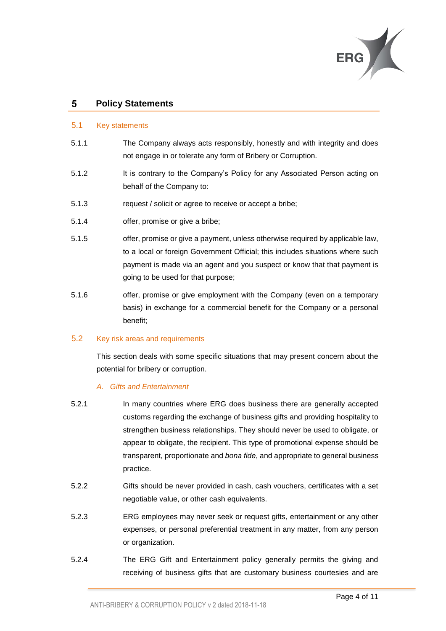

#### 5 **Policy Statements**

### 5.1 Key statements

- 5.1.1 The Company always acts responsibly, honestly and with integrity and does not engage in or tolerate any form of Bribery or Corruption.
- 5.1.2 It is contrary to the Company's Policy for any Associated Person acting on behalf of the Company to:
- 5.1.3 request / solicit or agree to receive or accept a bribe;
- 5.1.4 offer, promise or give a bribe;
- 5.1.5 offer, promise or give a payment, unless otherwise required by applicable law, to a local or foreign Government Official; this includes situations where such payment is made via an agent and you suspect or know that that payment is going to be used for that purpose;
- 5.1.6 offer, promise or give employment with the Company (even on a temporary basis) in exchange for a commercial benefit for the Company or a personal benefit;

### 5.2 Key risk areas and requirements

This section deals with some specific situations that may present concern about the potential for bribery or corruption.

### *A. Gifts and Entertainment*

- 5.2.1 In many countries where ERG does business there are generally accepted customs regarding the exchange of business gifts and providing hospitality to strengthen business relationships. They should never be used to obligate, or appear to obligate, the recipient. This type of promotional expense should be transparent, proportionate and *bona fide*, and appropriate to general business practice.
- 5.2.2 Gifts should be never provided in cash, cash vouchers, certificates with a set negotiable value, or other cash equivalents.
- 5.2.3 ERG employees may never seek or request gifts, entertainment or any other expenses, or personal preferential treatment in any matter, from any person or organization.
- 5.2.4 The ERG Gift and Entertainment policy generally permits the giving and receiving of business gifts that are customary business courtesies and are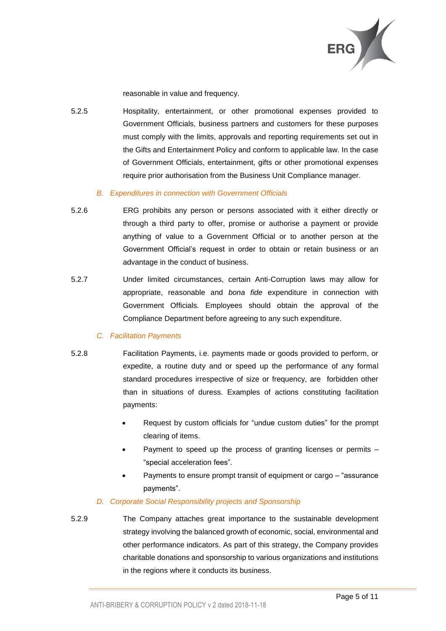

reasonable in value and frequency.

5.2.5 Hospitality, entertainment, or other promotional expenses provided to Government Officials, business partners and customers for these purposes must comply with the limits, approvals and reporting requirements set out in the Gifts and Entertainment Policy and conform to applicable law. In the case of Government Officials, entertainment, gifts or other promotional expenses require prior authorisation from the Business Unit Compliance manager.

# *B. Expenditures in connection with Government Officials*

- 5.2.6 ERG prohibits any person or persons associated with it either directly or through a third party to offer, promise or authorise a payment or provide anything of value to a Government Official or to another person at the Government Official's request in order to obtain or retain business or an advantage in the conduct of business.
- 5.2.7 Under limited circumstances, certain Anti-Corruption laws may allow for appropriate, reasonable and *bona fide* expenditure in connection with Government Officials. Employees should obtain the approval of the Compliance Department before agreeing to any such expenditure.

# *C. Facilitation Payments*

- 5.2.8 Facilitation Payments, i.e. payments made or goods provided to perform, or expedite, a routine duty and or speed up the performance of any formal standard procedures irrespective of size or frequency, are forbidden other than in situations of duress. Examples of actions constituting facilitation payments:
	- Request by custom officials for "undue custom duties" for the prompt clearing of items.
	- Payment to speed up the process of granting licenses or permits "special acceleration fees".
	- Payments to ensure prompt transit of equipment or cargo "assurance payments".

# *D. Corporate Social Responsibility projects and Sponsorship*

5.2.9 The Company attaches great importance to the sustainable development strategy involving the balanced growth of economic, social, environmental and other performance indicators. As part of this strategy, the Company provides charitable donations and sponsorship to various organizations and institutions in the regions where it conducts its business.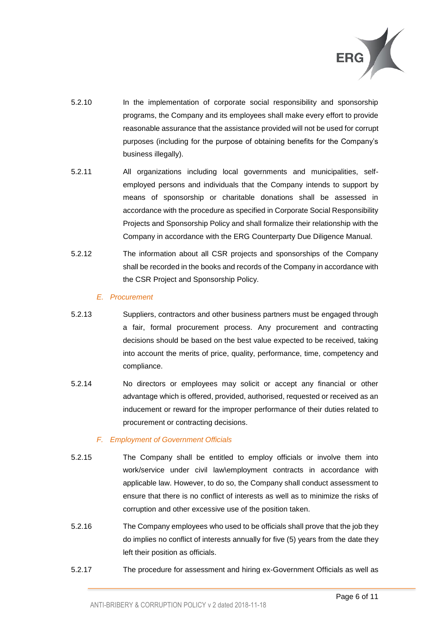

- 5.2.10 In the implementation of corporate social responsibility and sponsorship programs, the Company and its employees shall make every effort to provide reasonable assurance that the assistance provided will not be used for corrupt purposes (including for the purpose of obtaining benefits for the Company's business illegally).
- 5.2.11 All organizations including local governments and municipalities, selfemployed persons and individuals that the Company intends to support by means of sponsorship or charitable donations shall be assessed in accordance with the procedure as specified in Corporate Social Responsibility Projects and Sponsorship Policy and shall formalize their relationship with the Company in accordance with the ERG Counterparty Due Diligence Manual.
- 5.2.12 The information about all CSR projects and sponsorships of the Company shall be recorded in the books and records of the Company in accordance with the CSR Project and Sponsorship Policy.

### *E. Procurement*

- 5.2.13 Suppliers, contractors and other business partners must be engaged through a fair, formal procurement process. Any procurement and contracting decisions should be based on the best value expected to be received, taking into account the merits of price, quality, performance, time, competency and compliance.
- 5.2.14 No directors or employees may solicit or accept any financial or other advantage which is offered, provided, authorised, requested or received as an inducement or reward for the improper performance of their duties related to procurement or contracting decisions.

# *F. Employment of Government Officials*

- 5.2.15 The Company shall be entitled to employ officials or involve them into work/service under civil law\employment contracts in accordance with applicable law. However, to do so, the Company shall conduct assessment to ensure that there is no conflict of interests as well as to minimize the risks of corruption and other excessive use of the position taken.
- 5.2.16 The Company employees who used to be officials shall prove that the job they do implies no conflict of interests annually for five (5) years from the date they left their position as officials.
- 5.2.17 The procedure for assessment and hiring ex-Government Officials as well as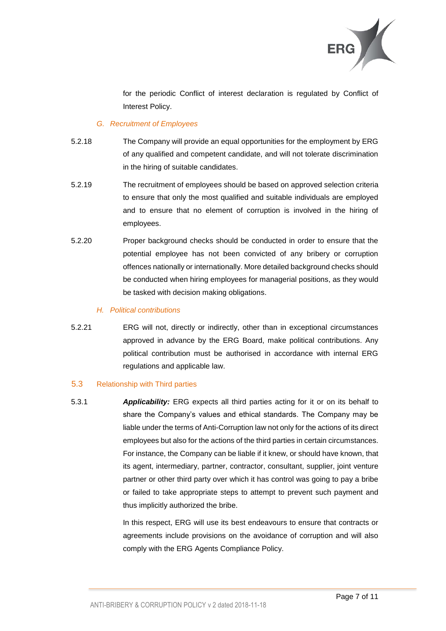

for the periodic Conflict of interest declaration is regulated by Conflict of Interest Policy.

# *G. Recruitment of Employees*

- 5.2.18 The Company will provide an equal opportunities for the employment by ERG of any qualified and competent candidate, and will not tolerate discrimination in the hiring of suitable candidates.
- 5.2.19 The recruitment of employees should be based on approved selection criteria to ensure that only the most qualified and suitable individuals are employed and to ensure that no element of corruption is involved in the hiring of employees.
- 5.2.20 Proper background checks should be conducted in order to ensure that the potential employee has not been convicted of any bribery or corruption offences nationally or internationally. More detailed background checks should be conducted when hiring employees for managerial positions, as they would be tasked with decision making obligations.

# *H. Political contributions*

5.2.21 ERG will not, directly or indirectly, other than in exceptional circumstances approved in advance by the ERG Board, make political contributions. Any political contribution must be authorised in accordance with internal ERG regulations and applicable law.

# 5.3 Relationship with Third parties

5.3.1 *Applicability:* ERG expects all third parties acting for it or on its behalf to share the Company's values and ethical standards. The Company may be liable under the terms of Anti-Corruption law not only for the actions of its direct employees but also for the actions of the third parties in certain circumstances. For instance, the Company can be liable if it knew, or should have known, that its agent, intermediary, partner, contractor, consultant, supplier, joint venture partner or other third party over which it has control was going to pay a bribe or failed to take appropriate steps to attempt to prevent such payment and thus implicitly authorized the bribe.

> In this respect, ERG will use its best endeavours to ensure that contracts or agreements include provisions on the avoidance of corruption and will also comply with the ERG Agents Compliance Policy.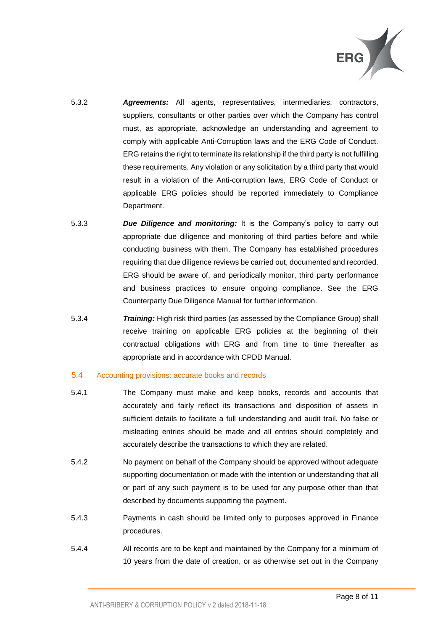

- 5.3.2 *Agreements:* All agents, representatives, intermediaries, contractors, suppliers, consultants or other parties over which the Company has control must, as appropriate, acknowledge an understanding and agreement to comply with applicable Anti-Corruption laws and the ERG Code of Conduct. ERG retains the right to terminate its relationship if the third party is not fulfilling these requirements. Any violation or any solicitation by a third party that would result in a violation of the Anti-corruption laws, ERG Code of Conduct or applicable ERG policies should be reported immediately to Compliance Department.
- 5.3.3 *Due Diligence and monitoring:* It is the Company's policy to carry out appropriate due diligence and monitoring of third parties before and while conducting business with them. The Company has established procedures requiring that due diligence reviews be carried out, documented and recorded. ERG should be aware of, and periodically monitor, third party performance and business practices to ensure ongoing compliance. See the ERG Counterparty Due Diligence Manual for further information.
- 5.3.4 *Training:* High risk third parties (as assessed by the Compliance Group) shall receive training on applicable ERG policies at the beginning of their contractual obligations with ERG and from time to time thereafter as appropriate and in accordance with CPDD Manual.

### 5.4 Accounting provisions: accurate books and records

- 5.4.1 The Company must make and keep books, records and accounts that accurately and fairly reflect its transactions and disposition of assets in sufficient details to facilitate a full understanding and audit trail. No false or misleading entries should be made and all entries should completely and accurately describe the transactions to which they are related.
- 5.4.2 No payment on behalf of the Company should be approved without adequate supporting documentation or made with the intention or understanding that all or part of any such payment is to be used for any purpose other than that described by documents supporting the payment.
- 5.4.3 Payments in cash should be limited only to purposes approved in Finance procedures.
- 5.4.4 All records are to be kept and maintained by the Company for a minimum of 10 years from the date of creation, or as otherwise set out in the Company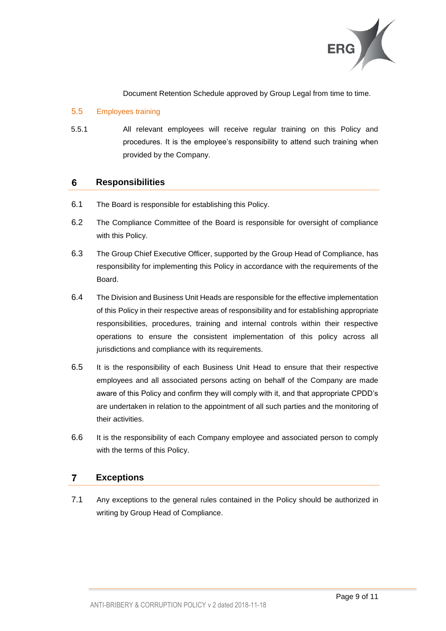

Document Retention Schedule approved by Group Legal from time to time.

# 5.5 Employees training

5.5.1 All relevant employees will receive regular training on this Policy and procedures. It is the employee's responsibility to attend such training when provided by the Company.

### 6 **Responsibilities**

- 6.1 The Board is responsible for establishing this Policy.
- 6.2 The Compliance Committee of the Board is responsible for oversight of compliance with this Policy.
- 6.3 The Group Chief Executive Officer, supported by the Group Head of Compliance, has responsibility for implementing this Policy in accordance with the requirements of the Board.
- 6.4 The Division and Business Unit Heads are responsible for the effective implementation of this Policy in their respective areas of responsibility and for establishing appropriate responsibilities, procedures, training and internal controls within their respective operations to ensure the consistent implementation of this policy across all jurisdictions and compliance with its requirements.
- 6.5 It is the responsibility of each Business Unit Head to ensure that their respective employees and all associated persons acting on behalf of the Company are made aware of this Policy and confirm they will comply with it, and that appropriate CPDD's are undertaken in relation to the appointment of all such parties and the monitoring of their activities.
- 6.6 It is the responsibility of each Company employee and associated person to comply with the terms of this Policy.

### $\overline{7}$ **Exceptions**

7.1 Any exceptions to the general rules contained in the Policy should be authorized in writing by Group Head of Compliance.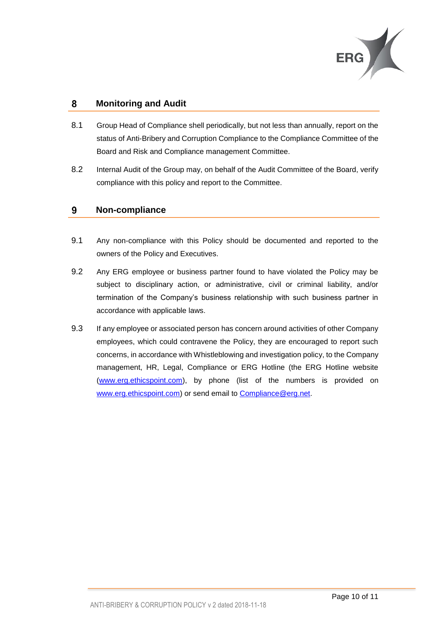

### 8 **Monitoring and Audit**

- 8.1 Group Head of Compliance shell periodically, but not less than annually, report on the status of Anti-Bribery and Corruption Compliance to the Compliance Committee of the Board and Risk and Compliance management Committee.
- 8.2 Internal Audit of the Group may, on behalf of the Audit Committee of the Board, verify compliance with this policy and report to the Committee.

#### $\mathbf{9}$ **Non-compliance**

- 9.1 Any non-compliance with this Policy should be documented and reported to the owners of the Policy and Executives.
- 9.2 Any ERG employee or business partner found to have violated the Policy may be subject to disciplinary action, or administrative, civil or criminal liability, and/or termination of the Company's business relationship with such business partner in accordance with applicable laws.
- 9.3 If any employee or associated person has concern around activities of other Company employees, which could contravene the Policy, they are encouraged to report such concerns, in accordance with Whistleblowing and investigation policy, to the Company management, HR, Legal, Compliance or ERG Hotline (the ERG Hotline website [\(www.erg.ethicspoint.com\)](http://www.erg.ethicspoint.com/), by phone (list of the numbers is provided on [www.erg.ethicspoint.com\)](http://www.erg.ethicspoint.com/) or send email to [Compliance@erg.net.](mailto:Compliance@erg.net)